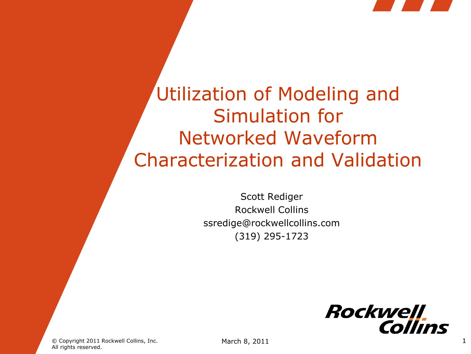

Utilization of Modeling and Simulation for Networked Waveform Characterization and Validation

> Scott Rediger Rockwell Collins ssredige@rockwellcollins.com (319) 295-1723



© Copyright 2011 Rockwell Collins, Inc. All rights reserved.

March 8, 2011 1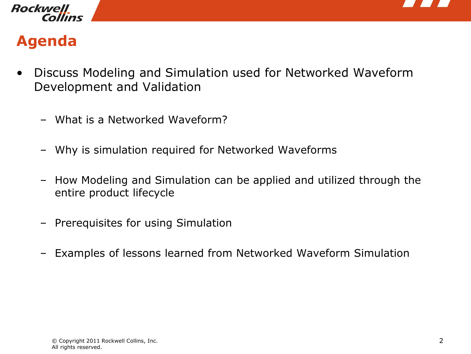



## **Agenda**

- Discuss Modeling and Simulation used for Networked Waveform Development and Validation
	- What is a Networked Waveform?
	- Why is simulation required for Networked Waveforms
	- How Modeling and Simulation can be applied and utilized through the entire product lifecycle
	- Prerequisites for using Simulation
	- Examples of lessons learned from Networked Waveform Simulation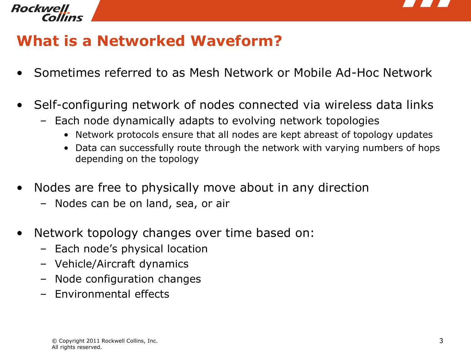

#### Rockwell llns

## **What is a Networked Waveform?**

- Sometimes referred to as Mesh Network or Mobile Ad-Hoc Network
- Self-configuring network of nodes connected via wireless data links
	- Each node dynamically adapts to evolving network topologies
		- Network protocols ensure that all nodes are kept abreast of topology updates
		- Data can successfully route through the network with varying numbers of hops depending on the topology
- Nodes are free to physically move about in any direction
	- Nodes can be on land, sea, or air
- Network topology changes over time based on:
	- Each node's physical location
	- Vehicle/Aircraft dynamics
	- Node configuration changes
	- Environmental effects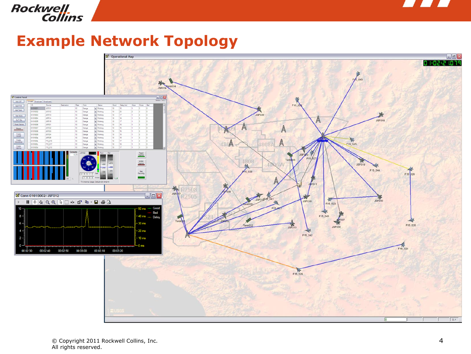

# Rockwell<br>Collins

### **Example Network Topology**

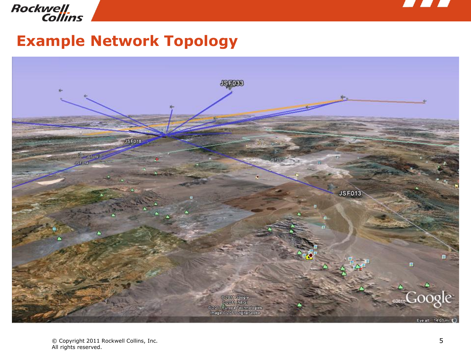

# Rockwell<br>Collins

### **Example Network Topology**

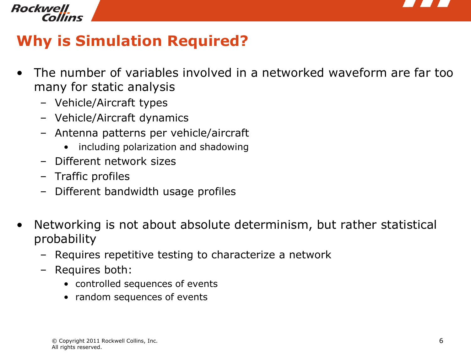

## **Why is Simulation Required?**

- The number of variables involved in a networked waveform are far too many for static analysis
	- Vehicle/Aircraft types
	- Vehicle/Aircraft dynamics
	- Antenna patterns per vehicle/aircraft
		- including polarization and shadowing
	- Different network sizes
	- Traffic profiles
	- Different bandwidth usage profiles
- Networking is not about absolute determinism, but rather statistical probability
	- Requires repetitive testing to characterize a network
	- Requires both:
		- controlled sequences of events
		- random sequences of events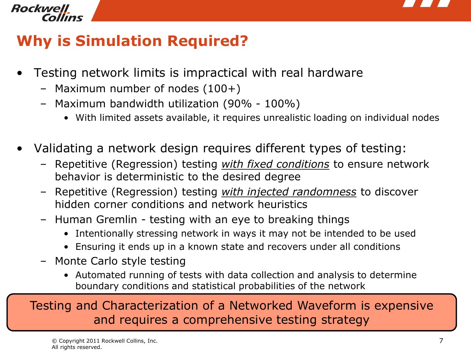

## **Why is Simulation Required?**

- Testing network limits is impractical with real hardware
	- Maximum number of nodes (100+)
	- Maximum bandwidth utilization (90% 100%)
		- With limited assets available, it requires unrealistic loading on individual nodes
- Validating a network design requires different types of testing:
	- Repetitive (Regression) testing *with fixed conditions* to ensure network behavior is deterministic to the desired degree
	- Repetitive (Regression) testing *with injected randomness* to discover hidden corner conditions and network heuristics
	- Human Gremlin testing with an eye to breaking things
		- Intentionally stressing network in ways it may not be intended to be used
		- Ensuring it ends up in a known state and recovers under all conditions
	- Monte Carlo style testing
		- Automated running of tests with data collection and analysis to determine boundary conditions and statistical probabilities of the network

Testing and Characterization of a Networked Waveform is expensive and requires a comprehensive testing strategy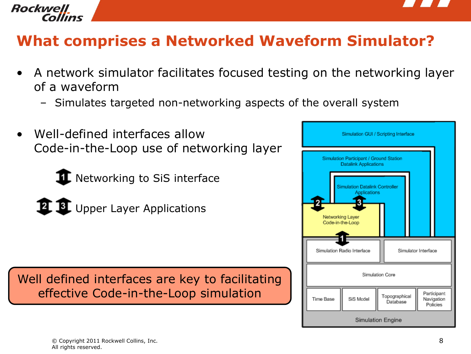



## **What comprises a Networked Waveform Simulator?**

- A network simulator facilitates focused testing on the networking layer of a waveform
	- Simulates targeted non-networking aspects of the overall system
- Well-defined interfaces allow Code-in-the-Loop use of networking layer
	- $\mathbf \Pi$  Networking to SiS interface
	-
	- **12 B.** Upper Layer Applications

Well defined interfaces are key to facilitating effective Code-in-the-Loop simulation

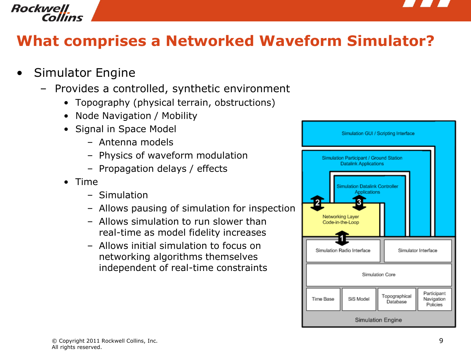



### **What comprises a Networked Waveform Simulator?**

- Simulator Engine
	- Provides a controlled, synthetic environment
		- Topography (physical terrain, obstructions)
		- Node Navigation / Mobility
		- Signal in Space Model
			- Antenna models
			- Physics of waveform modulation
			- Propagation delays / effects
		- Time
			- Simulation
			- Allows pausing of simulation for inspection
			- Allows simulation to run slower than real-time as model fidelity increases
			- Allows initial simulation to focus on networking algorithms themselves independent of real-time constraints

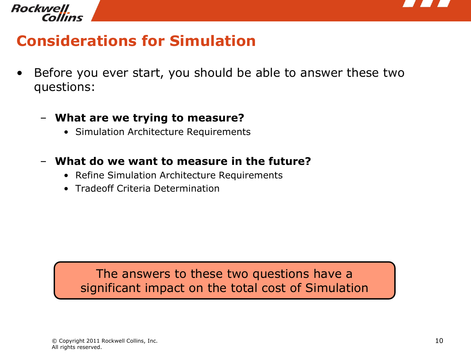



### **Considerations for Simulation**

- Before you ever start, you should be able to answer these two questions:
	- **What are we trying to measure?**
		- Simulation Architecture Requirements
	- **What do we want to measure in the future?**
		- Refine Simulation Architecture Requirements
		- Tradeoff Criteria Determination

The answers to these two questions have a significant impact on the total cost of Simulation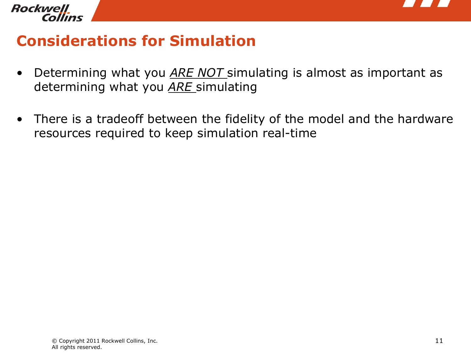

## **Considerations for Simulation**

- Determining what you *ARE NOT* simulating is almost as important as determining what you *ARE* simulating
- There is a tradeoff between the fidelity of the model and the hardware resources required to keep simulation real-time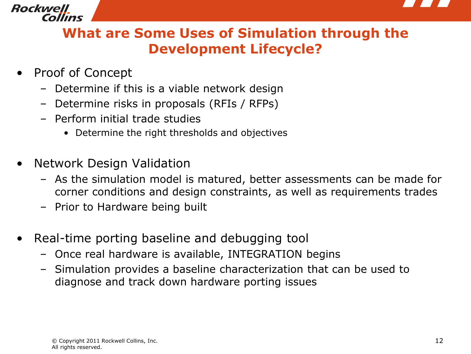

#### **What are Some Uses of Simulation through the Development Lifecycle?**

- Proof of Concept
	- Determine if this is a viable network design
	- Determine risks in proposals (RFIs / RFPs)
	- Perform initial trade studies
		- Determine the right thresholds and objectives
- Network Design Validation
	- As the simulation model is matured, better assessments can be made for corner conditions and design constraints, as well as requirements trades
	- Prior to Hardware being built
- Real-time porting baseline and debugging tool
	- Once real hardware is available, INTEGRATION begins
	- Simulation provides a baseline characterization that can be used to diagnose and track down hardware porting issues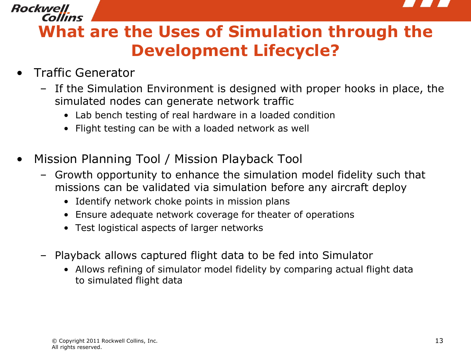

Collins **What are the Uses of Simulation through the Development Lifecycle?** 

• Traffic Generator

Rockwell

- If the Simulation Environment is designed with proper hooks in place, the simulated nodes can generate network traffic
	- Lab bench testing of real hardware in a loaded condition
	- Flight testing can be with a loaded network as well
- Mission Planning Tool / Mission Playback Tool
	- Growth opportunity to enhance the simulation model fidelity such that missions can be validated via simulation before any aircraft deploy
		- Identify network choke points in mission plans
		- Ensure adequate network coverage for theater of operations
		- Test logistical aspects of larger networks
	- Playback allows captured flight data to be fed into Simulator
		- Allows refining of simulator model fidelity by comparing actual flight data to simulated flight data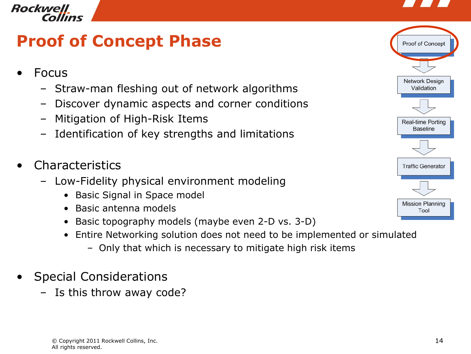



## **Proof of Concept Phase**



- Straw-man fleshing out of network algorithms
- Discover dynamic aspects and corner conditions
- Mitigation of High-Risk Items
- Identification of key strengths and limitations
- **Characteristics** 
	- Low-Fidelity physical environment modeling
		- Basic Signal in Space model
		- Basic antenna models
		- Basic topography models (maybe even 2-D vs. 3-D)
		- Entire Networking solution does not need to be implemented or simulated
			- Only that which is necessary to mitigate high risk items
- Special Considerations
	- Is this throw away code?

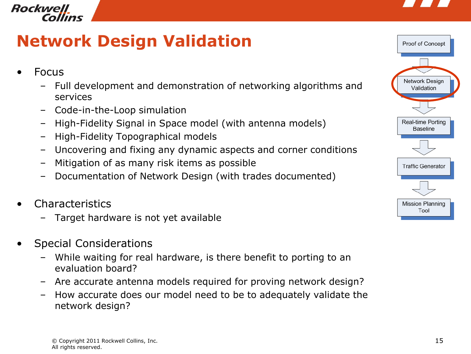

## **Network Design Validation**

- Focus
	- Full development and demonstration of networking algorithms and services
	- Code-in-the-Loop simulation
	- High-Fidelity Signal in Space model (with antenna models)
	- High-Fidelity Topographical models
	- Uncovering and fixing any dynamic aspects and corner conditions
	- Mitigation of as many risk items as possible
	- Documentation of Network Design (with trades documented)
- **Characteristics** 
	- Target hardware is not yet available
- Special Considerations
	- While waiting for real hardware, is there benefit to porting to an evaluation board?
	- Are accurate antenna models required for proving network design?
	- How accurate does our model need to be to adequately validate the network design?

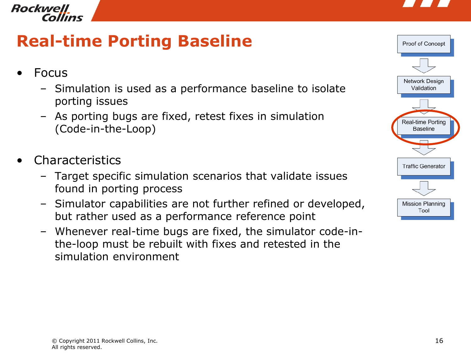



## **Real-time Porting Baseline**

- **Focus** 
	- Simulation is used as a performance baseline to isolate porting issues
	- As porting bugs are fixed, retest fixes in simulation (Code-in-the-Loop)
- **Characteristics** 
	- Target specific simulation scenarios that validate issues found in porting process
	- Simulator capabilities are not further refined or developed, but rather used as a performance reference point
	- Whenever real-time bugs are fixed, the simulator code-inthe-loop must be rebuilt with fixes and retested in the simulation environment

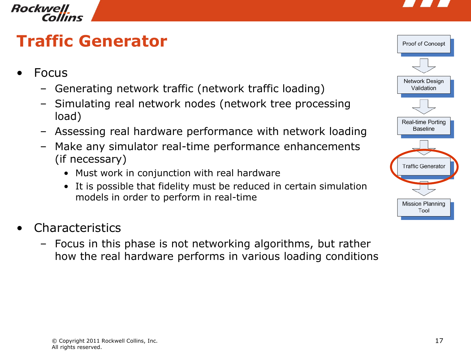



# **Traffic Generator**

- **Focus** 
	- Generating network traffic (network traffic loading)
	- Simulating real network nodes (network tree processing load)
	- Assessing real hardware performance with network loading
	- Make any simulator real-time performance enhancements (if necessary)
		- Must work in conjunction with real hardware
		- It is possible that fidelity must be reduced in certain simulation models in order to perform in real-time
- **Characteristics** 
	- Focus in this phase is not networking algorithms, but rather how the real hardware performs in various loading conditions

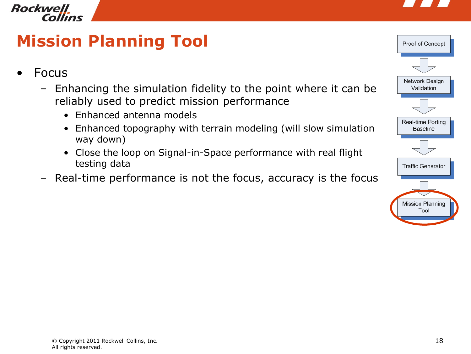



## **Mission Planning Tool**

- **Focus** 
	- Enhancing the simulation fidelity to the point where it can be reliably used to predict mission performance
		- Enhanced antenna models
		- Enhanced topography with terrain modeling (will slow simulation way down)
		- Close the loop on Signal-in-Space performance with real flight testing data
	- Real-time performance is not the focus, accuracy is the focus

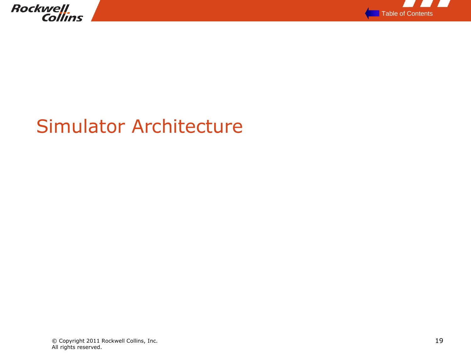



# Simulator Architecture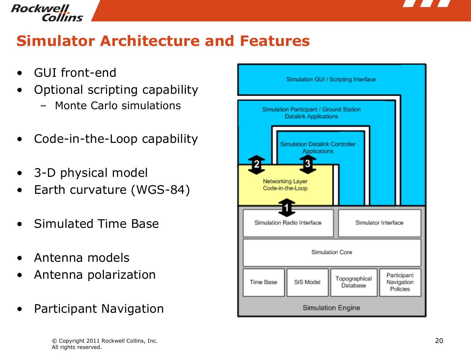

## **Simulator Architecture and Features**

- GUI front-end
- Optional scripting capability
	- Monte Carlo simulations
- Code-in-the-Loop capability
- 3-D physical model
- Earth curvature (WGS-84)
- Simulated Time Base
- Antenna models
- Antenna polarization
- Participant Navigation

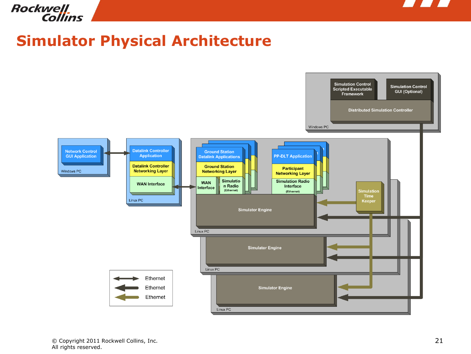

# Rockwell<br>Collins

### **Simulator Physical Architecture**

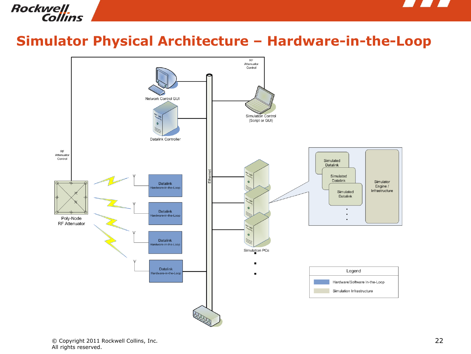



#### **Simulator Physical Architecture – Hardware-in-the-Loop**

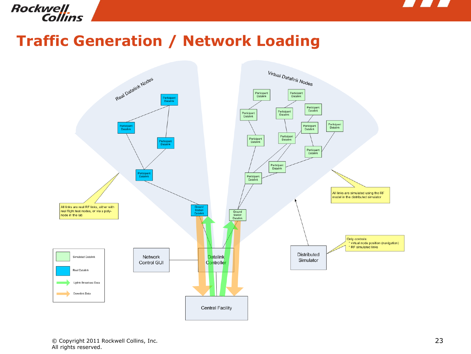



### **Traffic Generation / Network Loading**

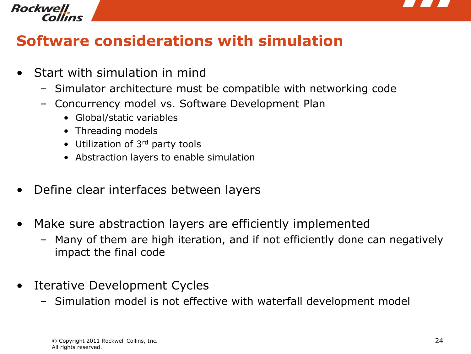

# Rockwell

## **Software considerations with simulation**

- Start with simulation in mind
	- Simulator architecture must be compatible with networking code
	- Concurrency model vs. Software Development Plan
		- Global/static variables
		- Threading models
		- Utilization of 3<sup>rd</sup> party tools
		- Abstraction layers to enable simulation
- Define clear interfaces between layers
- Make sure abstraction layers are efficiently implemented
	- Many of them are high iteration, and if not efficiently done can negatively impact the final code
- Iterative Development Cycles
	- Simulation model is not effective with waterfall development model